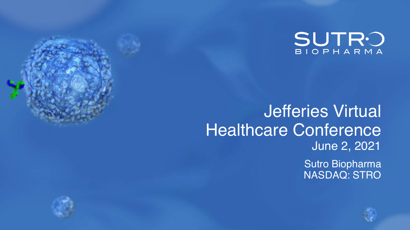

## Jefferies Virtual Healthcare Conference June 2, 2021

Sutro Biopharma NASDAQ: STRO

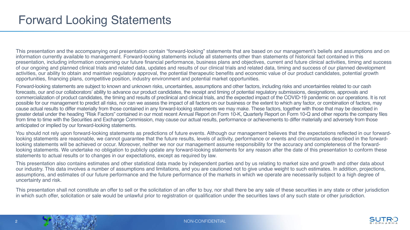This presentation and the accompanying oral presentation contain "forward-looking" statements that are based on our management's beliefs and assumptions and on information currently available to management. Forward-looking statements include all statements other than statements of historical fact contained in this presentation, including information concerning our future financial performance, business plans and objectives, current and future clinical activities, timing and success of our ongoing and planned clinical trials and related data, updates and results of our clinical trials and related data, timing and success of our planned development activities, our ability to obtain and maintain regulatory approval, the potential therapeutic benefits and economic value of our product candidates, potential growth opportunities, financing plans, competitive position, industry environment and potential market opportunities.

Forward-looking statements are subject to known and unknown risks, uncertainties, assumptions and other factors, including risks and uncertainties related to our cash forecasts, our and our collaborators' ability to advance our product candidates, the receipt and timing of potential regulatory submissions, designations, approvals and commercialization of product candidates, the timing and results of preclinical and clinical trials, and the expected impact of the COVID-19 pandemic on our operations. It is not possible for our management to predict all risks, nor can we assess the impact of all factors on our business or the extent to which any factor, or combination of factors, may cause actual results to differ materially from those contained in any forward-looking statements we may make. These factors, together with those that may be described in greater detail under the heading "Risk Factors" contained in our most recent Annual Report on Form 10-K, Quarterly Report on Form 10-Q and other reports the company files from time to time with the Securities and Exchange Commission, may cause our actual results, performance or achievements to differ materially and adversely from those anticipated or implied by our forward-looking statements.

You should not rely upon forward-looking statements as predictions of future events. Although our management believes that the expectations reflected in our forwardlooking statements are reasonable, we cannot guarantee that the future results, levels of activity, performance or events and circumstances described in the forwardlooking statements will be achieved or occur. Moreover, neither we nor our management assume responsibility for the accuracy and completeness of the forwardlooking statements. We undertake no obligation to publicly update any forward-looking statements for any reason after the date of this presentation to conform these statements to actual results or to changes in our expectations, except as required by law.

This presentation also contains estimates and other statistical data made by independent parties and by us relating to market size and growth and other data about our industry. This data involves a number of assumptions and limitations, and you are cautioned not to give undue weight to such estimates. In addition, projections, assumptions, and estimates of our future performance and the future performance of the markets in which we operate are necessarily subject to a high degree of uncertainty and risk.

This presentation shall not constitute an offer to sell or the solicitation of an offer to buy, nor shall there be any sale of these securities in any state or other jurisdiction in which such offer, solicitation or sale would be unlawful prior to registration or qualification under the securities laws of any such state or other jurisdiction.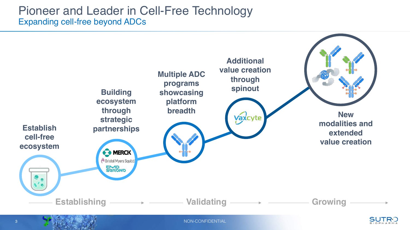## Pioneer and Leader in Cell-Free Technology Expanding cell-free beyond ADCs



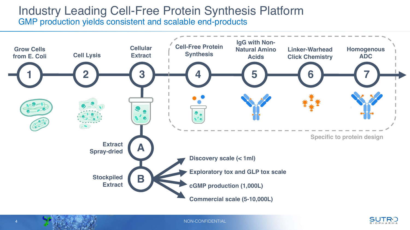## Industry Leading Cell-Free Protein Synthesis Platform GMP production yields consistent and scalable end-products

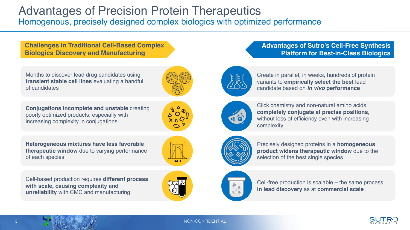## Advantages of Precision Protein Therapeutics Homogenous, precisely designed complex biologics with optimized performance

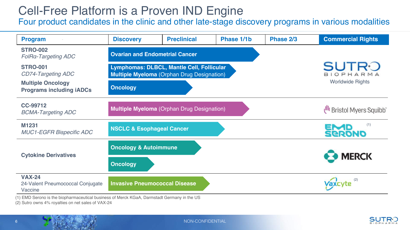## Cell-Free Platform is a Proven IND Engine

Four product candidates in the clinic and other late-stage discovery programs in various modalities

| <b>Program</b>                                               | <b>Discovery</b>                                                                               | <b>Preclinical</b>                                | Phase 1/1b | Phase 2/3 | <b>Commercial Rights</b>    |
|--------------------------------------------------------------|------------------------------------------------------------------------------------------------|---------------------------------------------------|------------|-----------|-----------------------------|
| <b>STRO-002</b><br><b>FolRa-Targeting ADC</b>                | <b>Ovarian and Endometrial Cancer</b>                                                          |                                                   |            |           |                             |
| <b>STRO-001</b><br><b>CD74-Targeting ADC</b>                 | Lymphomas: DLBCL, Mantle Cell, Follicular<br><b>Multiple Myeloma (Orphan Drug Designation)</b> |                                                   |            |           | <b>SUTRO</b><br>OPHARMA     |
| <b>Multiple Oncology</b><br><b>Programs including iADCs</b>  | <b>Oncology</b>                                                                                | <b>Worldwide Rights</b>                           |            |           |                             |
| CC-99712<br><b>BCMA-Targeting ADC</b>                        |                                                                                                | <b>Multiple Myeloma (Orphan Drug Designation)</b> |            |           | Illi Bristol Myers Squibb   |
| M1231<br><b>MUC1-EGFR Bispecific ADC</b>                     | <b>NSCLC &amp; Esophageal Cancer</b>                                                           |                                                   |            |           | (1)<br>EMD<br><b>SERONO</b> |
| <b>Cytokine Derivatives</b>                                  | <b>Oncology &amp; Autoimmune</b>                                                               |                                                   |            |           | <b>MERCK</b>                |
|                                                              | <b>Oncology</b>                                                                                |                                                   |            |           |                             |
| <b>VAX-24</b><br>24-Valent Pneumococcal Conjugate<br>Vaccine | <b>Invasive Pneumococcal Disease</b>                                                           |                                                   |            |           |                             |

(1) EMD Serono is the biopharmaceutical business of Merck KGaA, Darmstadt Germany in the US

(2) Sutro owns 4% royalties on net sales of VAX-24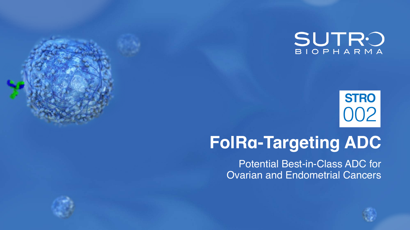



# **FolRα-Targeting ADC**

Potential Best-in-Class ADC for **Ovarian and Endometrial Cancers** 



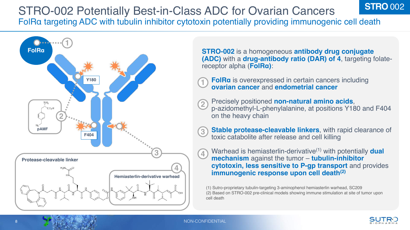#### STRO-002 Potentially Best-in-Class ADC for Ovarian Cancers FolRα targeting ADC with tubulin inhibitor cytotoxin potentially providing immunogenic cell death **STRO** 002



**STRO-002** is a homogeneous **antibody drug conjugate (ADC)** with a **drug-antibody ratio (DAR) of 4**, targeting folatereceptor alpha (**FolRα)**:

- **FolRa** is overexpressed in certain cancers including **ovarian cancer** and **endometrial cancer 1**
- **2**

**3**

- Precisely positioned **non-natural amino acids**, p-azidomethyl-L-phenylalanine, at positions Y180 and F404 on the heavy chain
- **Stable protease-cleavable linkers**, with rapid clearance of toxic catabolite after release and cell killing
- Warhead is hemiasterlin-derivative(1) with potentially **dual mechanism** against the tumor – **tubulin-inhibitor cytotoxin, less sensitive to P-gp transport** and provides **immunogenic response upon cell death(2) 4**

(1) Sutro-proprietary tubulin-targeting 3-aminophenol hemiasterlin warhead, SC209 (2) Based on STRO-002 pre-clinical models showing immune stimulation at site of tumor upon cell death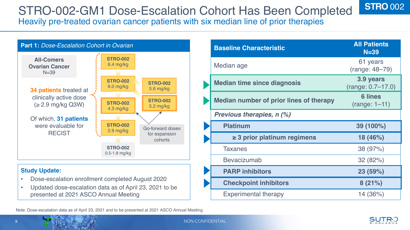## STRO-002-GM1 Dose-Escalation Cohort Has Been Completed Heavily pre-treated ovarian cancer patients with six median line of prior therapies



#### **Study Update:**

- Dose-escalation enrollment completed August 2020
- Updated dose-escalation data as of April 23, 2021 to be presented at 2021 ASCO Annual Meeting

Note: Dose-escalation data as of April 23, 2021 and to be presented at 2021 ASCO Annual Meeting

| <b>Baseline Characteristic</b>                 | <b>All Patients</b><br>$N = 39$   |
|------------------------------------------------|-----------------------------------|
| Median age                                     | 61 years<br>(range: 48-79)        |
| <b>Median time since diagnosis</b>             | 3.9 years<br>$(range: 0.7-17.0)$  |
| <b>Median number of prior lines of therapy</b> | <b>6 lines</b><br>$(range: 1-11)$ |
| Previous therapies, n (%)                      |                                   |
| <b>Platinum</b>                                | 39 (100%)                         |
| $\geq$ 3 prior platinum regimens               | 18 (46%)                          |
| <b>Taxanes</b>                                 | 38 (97%)                          |
| <b>Bevacizumab</b>                             | 32(82%)                           |
| <b>PARP inhibitors</b>                         | 23 (59%)                          |
| <b>Checkpoint inhibitors</b>                   | 8(21%)                            |
| <b>Experimental therapy</b>                    | 14 (36%)                          |



**STRO** 002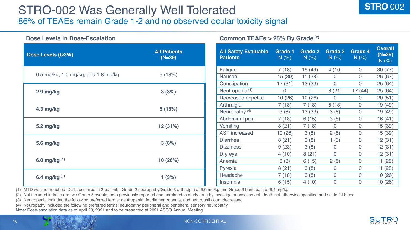## STRO-002 Was Generally Well Tolerated 86% of TEAEs remain Grade 1-2 and no observed ocular toxicity signal

| <b>Dose Levels in Dose-Escalation</b> | Common TEAEs $>$ 25% By Grade $(2)$ |                                                |                       |                       |                    |                                                                                                                                              |                                       |
|---------------------------------------|-------------------------------------|------------------------------------------------|-----------------------|-----------------------|--------------------|----------------------------------------------------------------------------------------------------------------------------------------------|---------------------------------------|
| Dose Levels (Q3W)                     | <b>All Patients</b><br>$(N=39)$     | <b>All Safety Evaluable</b><br><b>Patients</b> | <b>Grade 1</b><br>N(% | <b>Grade 2</b><br>N(% | Grade 3<br>$N$ (%) | <b>Grade 4</b><br>$N$ (%)                                                                                                                    | <b>Overall</b><br>$(N=39)$<br>$N$ (%) |
|                                       |                                     | Fatigue                                        | 7(18)                 | 19 (49)               | 4(10)              | $\overline{0}$                                                                                                                               | 30(77)                                |
| 0.5 mg/kg, 1.0 mg/kg, and 1.8 mg/kg   | 5(13%)                              | <b>Nausea</b>                                  | 15(39)                | 11(28)                | $\overline{0}$     | $\overline{0}$                                                                                                                               | 26 (67)                               |
|                                       |                                     | Constipation                                   | 12(31)                | 13 (33)               | $\overline{0}$     | $\overline{0}$                                                                                                                               | 25(64)                                |
| $2.9$ mg/kg                           | 3(8%)                               | Neutropenia <sup>(3)</sup>                     | $\overline{0}$        | $\overline{0}$        | 8(21)              | 17(44)                                                                                                                                       | 25(64)                                |
|                                       |                                     | Decreased appetite                             | 10(26)                | 10(26)                | $\overline{0}$     | $\overline{0}$                                                                                                                               | 20(51)                                |
|                                       |                                     | Arthralgia                                     | 7(18)                 | 7(18)                 | 5(13)              | $\overline{0}$                                                                                                                               | 19 (49)                               |
| 4.3 mg/kg                             | 5(13%)                              | Neuropathy $(4)$                               | 3(8)                  | 13 (33)               | 3(8)               | $\overline{0}$                                                                                                                               | 19(49)                                |
|                                       |                                     | Abdominal pain                                 | 7(18)                 | 6(15)                 | 3(8)               | $\overline{0}$                                                                                                                               | 16(41)                                |
| 5.2 mg/kg                             | 12 (31%)                            | Vomiting                                       | 8(21)                 | 7(18)                 | $\overline{0}$     | $\overline{0}$                                                                                                                               | 15(39)                                |
|                                       |                                     | <b>AST increased</b>                           | 10(26)                | 3(8)                  | 2(5)               | $\overline{0}$<br>$\overline{0}$<br>$\overline{0}$<br>$\overline{0}$<br>$\overline{0}$<br>$\overline{0}$<br>$\overline{0}$<br>$\overline{0}$ | 15(39)                                |
| 5.6 mg/kg                             | 3(8%)                               | <b>Diarrhea</b>                                | 8(21)                 | 3(8)                  | 1(3)               |                                                                                                                                              | 12(31)                                |
|                                       |                                     | <b>Dizziness</b>                               | 9(23)                 | 3(8)                  | $\overline{0}$     |                                                                                                                                              | 12(31)                                |
|                                       |                                     | Dry eye                                        | 4(10)                 | 8(21)                 | $\overline{0}$     |                                                                                                                                              | 12(31)                                |
| 6.0 mg/kg $(1)$                       | 10(26%)                             | Anemia                                         | 3(8)                  | 6(15)                 | 2(5)               |                                                                                                                                              | 11 $(28)$                             |
|                                       |                                     | Pyrexia                                        | 8(21)                 | 3(8)                  | $\overline{0}$     |                                                                                                                                              | 11 $(28)$                             |
| 6.4 mg/kg $(1)$                       | 1(3%)                               | Headache                                       | 7(18)                 | 3(8)                  | $\overline{0}$     |                                                                                                                                              | 10(26)                                |
|                                       |                                     | Insomnia                                       | 6(15)                 | 4(10)                 | $\overline{0}$     |                                                                                                                                              | 10(26)                                |
|                                       |                                     |                                                |                       |                       |                    |                                                                                                                                              |                                       |

(1) MTD was not reached; DLTs occurred in 2 patients: Grade 2 neuropathy/Grade 3 arthralgia at 6.0 mg/kg and Grade 3 bone pain at 6.4 mg/kg

(2) Not included in table are two Grade 5 events, both previously reported and unrelated to study drug by investigator assessment: death not otherwise specified and acute GI bleed

(3) Neutropenia included the following preferred terms: neutropenia, febrile neutropenia, and neutrophil count decreased

(4) Neuropathy included the following preferred terms: neuropathy peripheral and peripheral sensory neuropathy

Note: Dose-escalation data as of April 23, 2021 and to be presented at 2021 ASCO Annual Meeting



**STRO** 002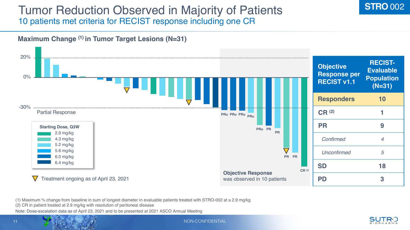## Tumor Reduction Observed in Majority of Patients 10 patients met criteria for RECIST response including one CR



(1) Maximum % change from baseline in sum of longest diameter in evaluable patients treated with STRO-002 at ≥ 2.9 mg/kg

(2) CR in patient treated at 2.9 mg/kg with resolution of peritoneal disease

Note: Dose-escalation data as of April 23, 2021 and to be presented at 2021 ASCO Annual Meeting



**STRO** 002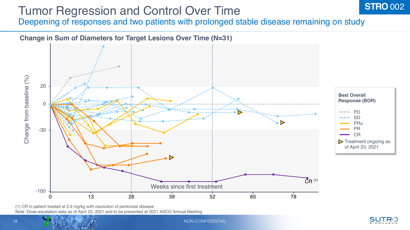## Tumor Regression and Control Over Time Deepening of responses and two patients with prolonged stable disease remaining on study



<sup>(1)</sup> CR in patient treated at 2.9 mg/kg with resolution of peritoneal disease Note: Dose-escalation data as of April 23, 2021 and to be presented at 2021 ASCO Annual Meeting

**STRO** 002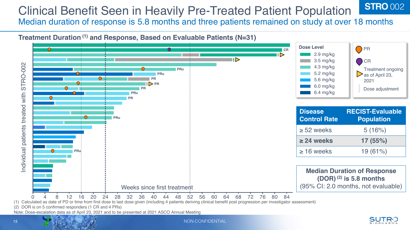#### Clinical Benefit Seen in Heavily Pre-Treated Patient Population Median duration of response is 5.8 months and three patients remained on study at over 18 months **STRO** 002



SUTRO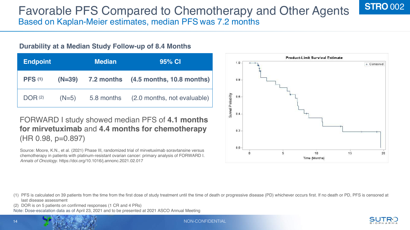## Favorable PFS Compared to Chemotherapy and Other Agents **STRO 002** Based on Kaplan-Meier estimates, median PFS was 7.2 months

#### **Durability at a Median Study Follow-up of 8.4 Months**

| <b>Endpoint</b> |          | <b>Median</b> | 95% CI                               |
|-----------------|----------|---------------|--------------------------------------|
| <b>PFS (1)</b>  | $(N=39)$ |               | 7.2 months (4.5 months, 10.8 months) |
| DOR(2)          | $(N=5)$  | 5.8 months    | (2.0 months, not evaluable)          |

#### FORWARD I study showed median PFS of **4.1 months for mirvetuximab** and **4.4 months for chemotherapy**  (HR 0.98, p=0.897)

Source: Moore, K.N., et al. (2021) Phase III, randomized trial of mirvetuximab soravtansine versus chemotherapy in patients with platinum-resistant ovarian cancer: primary analysis of FORWARD I. *Annals of Oncology*. https://doi.org/10.1016/j.annonc.2021.02.017



(1) PFS is calculated on 39 patients from the time from the first dose of study treatment until the time of death or progressive disease (PD) whichever occurs first. If no death or PD, PFS is censored at last disease assessment

(2) DOR is on 5 patients on confirmed responses (1 CR and 4 PRs)

Note: Dose-escalation data as of April 23, 2021 and to be presented at 2021 ASCO Annual Meeting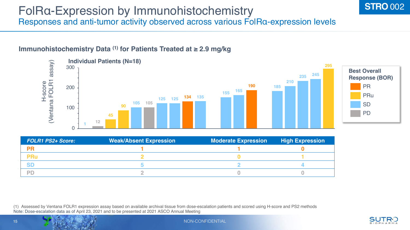## FolRa-Expression by Immunohistochemistry **STRO 002** Responses and anti-tumor activity observed across various FolRα-expression levels

#### **Immunohistochemistry Data (1) for Patients Treated at ≥ 2.9 mg/kg**



| <b>FOLR1 PS2+ Score:</b> | <b>Weak/Absent Expression</b> | <b>Moderate Expression</b> | <b>High Expression</b> |
|--------------------------|-------------------------------|----------------------------|------------------------|
|                          |                               |                            |                        |
| PRu                      |                               |                            |                        |
|                          |                               |                            |                        |
| DГ                       |                               |                            |                        |

(1) Assessed by Ventana FOLR1 expression assay based on available archival tissue from dose-escalation patients and scored using H-score and PS2 methods Note: Dose-escalation data as of April 23, 2021 and to be presented at 2021 ASCO Annual Meeting

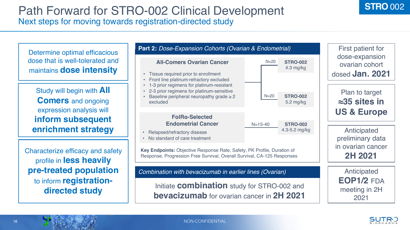## Path Forward for STRO-002 Clinical Development **STRO 002** Next steps for moving towards registration-directed study

| Determine optimal efficacious                                                      | Part 2: Dose-Expansion Cohorts (Ovarian & Endometrial)                                                                                                           |                                                | First patient for                                         |
|------------------------------------------------------------------------------------|------------------------------------------------------------------------------------------------------------------------------------------------------------------|------------------------------------------------|-----------------------------------------------------------|
| dose that is well-tolerated and<br>maintains <b>dose intensity</b>                 | <b>All-Comers Ovarian Cancer</b><br>Tissue required prior to enrollment<br>$\bullet$<br>Front line platinum-refractory excluded<br>$\bullet$                     | $N \approx 20$<br><b>STRO-002</b><br>4.3 mg/kg | dose-expansion<br>ovarian cohort<br>dosed Jan. 2021       |
| Study will begin with All<br><b>Comers</b> and ongoing<br>expression analysis will | 1-3 prior regimens for platinum-resistant<br>$\bullet$<br>2-3 prior regimens for platinum-sensitive<br>Baseline peripheral neuropathy grade $\geq 2$<br>excluded | $N \approx 20$<br><b>STRO-002</b><br>5.2 mg/kg | Plan to target<br>$\approx$ 35 sites in                   |
| inform subsequent<br>enrichment strategy                                           | <b>FolRa-Selected</b><br><b>Endometrial Cancer</b><br>Relapsed/refractory disease<br>$\bullet$<br>• No standard of care treatment                                | $N≈15-40$<br><b>STRO-002</b><br>4.3-5.2 mg/kg  | <b>US &amp; Europe</b><br>Anticipated<br>preliminary data |
| Characterize efficacy and safety<br>profile in less heavily                        | Key Endpoints: Objective Response Rate, Safety, PK Profile, Duration of<br>Response, Progression Free Survival, Overall Survival, CA-125 Responses               |                                                | in ovarian cancer<br>2H 2021                              |
| pre-treated population                                                             | Combination with bevacizumab in earlier lines (Ovarian)                                                                                                          |                                                | Anticipated                                               |
| to inform registration-<br>directed study                                          | Initiate <b>combination</b> study for STRO-002 and<br><b>bevacizumab</b> for ovarian cancer in 2H 2021                                                           | <b>EOP1/2 FDA</b><br>meeting in 2H<br>2021     |                                                           |

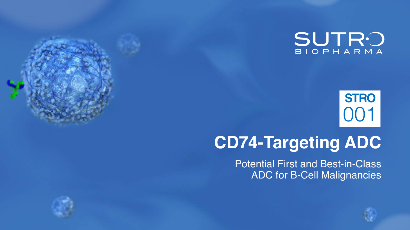



# **CD74-Targeting ADC**

Potential First and Best-in-Class ADC for B-Cell Malignancies



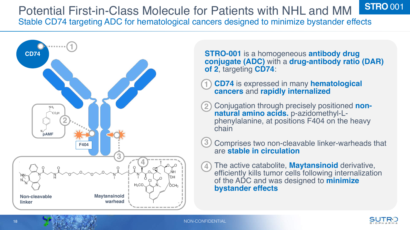#### Potential First-in-Class Molecule for Patients with NHL and MM Stable CD74 targeting ADC for hematological cancers designed to minimize bystander effects **STRO** 001



**STRO-001** is a homogeneous **antibody drug conjugate (ADC)** with a **drug-antibody ratio (DAR) of 2**, targeting **CD74**:

• **CD74** is expressed in many **hematological cancers** and **rapidly internalized 1**

• Conjugation through precisely positioned **nonnatural amino acids.** p-azidomethyl-Lphenylalanine, at positions F404 on the heavy chain **2**

• Comprises two non-cleavable linker-warheads that are **stable in circulation 3**

• The active catabolite, **Maytansinoid** derivative, efficiently kills tumor cells following internalization of the ADC and was designed to **minimize bystander effects 4**

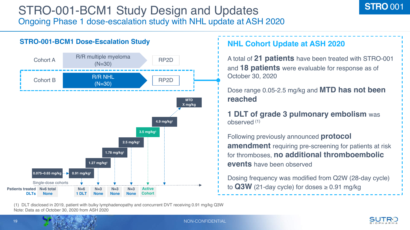### **STRO** 001

## STRO-001-BCM1 Study Design and Updates Ongoing Phase 1 dose-escalation study with NHL update at ASH 2020



### **NHL Cohort Update at ASH 2020**

A total of **21 patients** have been treated with STRO-001 and **18 patients** were evaluable for response as of October 30, 2020

Dose range 0.05-2.5 mg/kg and **MTD has not been reached**

**1 DLT of grade 3 pulmonary embolism** was observed (1)

Following previously announced **protocol amendment** requiring pre-screening for patients at risk for thromboses, **no additional thromboembolic events** have been observed

Dosing frequency was modified from Q2W (28-day cycle) to  $Q3W$  (21-day cycle) for doses  $\geq 0.91$  mg/kg

(1) DLT disclosed in 2019, patient with bulky lymphadenopathy and concurrent DVT receiving 0.91 mg/kg Q3W Note: Data as of October 30, 2020 from ASH 2020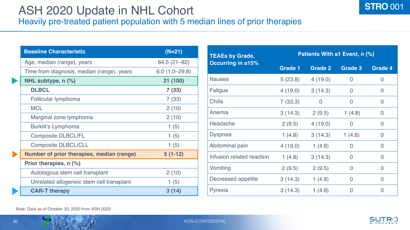| <b>Baseline Characteristic</b>             | $(N=21)$        |
|--------------------------------------------|-----------------|
| Age, median (range), years                 | $64.5(21-82)$   |
| Time from diagnosis, median (range), years | $6.0(1.0-29.8)$ |
| NHL subtype, n (%)                         | 21 (100)        |
| <b>DLBCL</b>                               | 7(33)           |
| Follicular lymphoma                        | 7(33)           |
| <b>MCL</b>                                 | 2(10)           |
| Marginal zone lymphoma                     | 2(10)           |
| Burkitt's Lymphoma                         | 1 $(5)$         |
| <b>Composite DLBCL/FL</b>                  | 1(5)            |
| <b>Composite DLBCL/CLL</b>                 | 1(5)            |
| Number of prior therapies, median (range)  | $5(1-12)$       |
| Prior therapies, n (%)                     |                 |
| Autologous stem cell transplant            | 2(10)           |
| Unrelated allogeneic stem cell transplant  | 1 $(5)$         |
| <b>CAR-T therapy</b>                       | 3(14)           |

| <b>TEAEs by Grade,</b>    | Patients With $\geq 1$ Event, n (%) |         |                |                |  |
|---------------------------|-------------------------------------|---------|----------------|----------------|--|
| Occurring in ≥15%         | <b>Grade 1</b>                      | Grade 2 | <b>Grade 3</b> | <b>Grade 4</b> |  |
| <b>Nausea</b>             | 5(23.8)                             | 4(19.0) | 0              | $\overline{0}$ |  |
| Fatigue                   | 4(19.0)                             | 3(14.3) | O              | O              |  |
| <b>Chills</b>             | 7(33.3)                             | 0       | 0              | 0              |  |
| Anemia                    | 3(14.3)                             | 2(9.5)  | 1(4.8)         | 0              |  |
| Headache                  | 2(9.5)                              | 4(19.0) | 0              | 0              |  |
| <b>Dyspnea</b>            | 1(4.8)                              | 3(14.3) | 1(4.8)         | O              |  |
| Abdominal pain            | 4(19.0)                             | 1(4.8)  | 0              | 0              |  |
| Infusion related reaction | 1(4.8)                              | 3(14.3) | $\overline{0}$ | 0              |  |
| Vomiting                  | 2(9.5)                              | 2(9.5)  | $\overline{0}$ | $\overline{0}$ |  |
| Decreased appetite        | 3(14.3)                             | 1(4.8)  | $\overline{0}$ | O              |  |
| Pyrexia                   | 3(14.3)                             | 1(4.8)  | 0              | O              |  |

Note: Data as of October 30, 2020 from ASH 2020



**STRO** 001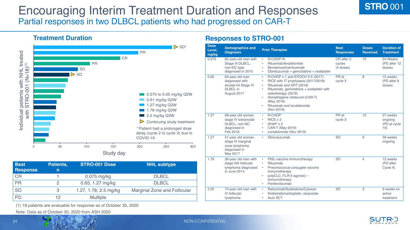## Encouraging Interim Treatment Duration and Responses Partial responses in two DLBCL patients who had progressed on CAR-T



| <b>Best</b><br><b>Response</b> | Patients,<br>n | <b>STRO-001 Dose</b>  | <b>NHL subtype</b>                  |
|--------------------------------|----------------|-----------------------|-------------------------------------|
| CR                             |                | $0.075$ mg/kg         | <b>DLBCL</b>                        |
| <b>PR</b>                      | 2              | 0.65, 1.27 mg/kg      | <b>DLBCL</b>                        |
| <b>SD</b>                      | 3              | 1.27, 1.78, 2.5 mg/kg | <b>Marginal Zone and Follicular</b> |
| <b>PD</b>                      | 12             | <b>Multiple</b>       |                                     |

(1) 18 patients are evaluable for response as of October 30, 2020

Note: Data as of October 30, 2020 from ASH 2020

| <b>Dose</b><br>Level.<br>mg/kg | <b>Demographics and</b><br><b>Diagnosis</b>                                                | <b>Prior Therapies</b>                                                                                                                                                                                                                                                                                                                        | <b>Best</b><br><b>Responses</b>   | <b>Doses</b><br><b>Received</b> | <b>Duration of</b><br><b>Treatment</b>     |
|--------------------------------|--------------------------------------------------------------------------------------------|-----------------------------------------------------------------------------------------------------------------------------------------------------------------------------------------------------------------------------------------------------------------------------------------------------------------------------------------------|-----------------------------------|---------------------------------|--------------------------------------------|
| 0.075                          | 82-year-old man with<br>Stage III DLBCL,<br>non-GC type<br>diagnosed in 2015               | R-CHOP-R.<br>$\bullet$<br>Rituximab/lenalidomide<br>$\bullet$<br>Bendamustine/rituximab<br>٠<br>Obinituzumab + gemcitabine + oxaliplatin<br>$\bullet$                                                                                                                                                                                         | CR after 2<br>cvcles<br>(4 doses) | 12                              | 24 Weeks<br>(PD after 12<br>doses)         |
| 0.65                           | 64-year old man<br>diagnosed with<br>double-hit Stage IV<br><b>DLBCL</b> in<br>August 2017 | $R$ -CHOP x 1 and EPOCH X 6 (2017)<br>$\bullet$<br>RICE with IT prophylaxis (2017/2018)<br>$\bullet$<br>Rituximab and XRT (2018)<br>$\bullet$<br>Rituximab, gemcitabine + oxaliplatin with<br>$\bullet$<br>radiotherapy (2018)<br>Axicabtagene ciloleucel (CAR-T)<br>٠<br>(May 2018)<br>Rituximab and lenalidomide<br>$\bullet$<br>(Nov 2018) | PR at<br>cycle 3                  | 8                               | 15 weeks<br>(PD after 8<br>doses)          |
| 1.27                           | 68-year old woman<br>stage IV extranodal<br>DLBCL, non-GC<br>diagnosed in<br>Feb 2018      | <b>R-CHOP</b><br>$\bullet$<br>RICE x 2<br>$\bullet$<br>DHAP x 2<br>$\bullet$<br>CAR-T (May 2019)<br>٠<br>Lenalidomide (Nov 2019)<br>$\bullet$                                                                                                                                                                                                 | PR at<br>cycle 3                  | 10                              | 27 weeks<br>ongoing<br>(PD at cycle<br>10) |
| 1.27                           | 51-year old woman,<br>stage III marginal<br>zone lymphoma<br>diagnosed in<br>May 2017      | Obinutuzumab<br>$\bullet$                                                                                                                                                                                                                                                                                                                     | <b>SD</b>                         | 6                               | 39 weeks<br>ongoing                        |
| 1.78                           | 36-year old man with<br>stage IIIA follicular<br>lymphoma diagnosed<br>in June 2014        | FIt3L-vaccine immunotherapy<br>$\bullet$<br>Rituximab<br>$\bullet$<br>Pneumococcal conjugate vaccine<br>$\bullet$<br>immunotherapy<br>polyCLC (TLR-3 agonist) -<br>$\bullet$<br>immunotherapy<br>Pembrolizumab<br>$\bullet$                                                                                                                   | <b>SD</b>                         | 4                               | 12 weeks<br>(PD after<br>Cycle 4)          |
| 2.50                           | 74-year old man with<br>IV follicular<br>lymphoma                                          | Reituximab/fludarabine/Cytoxan<br>$\bullet$<br>Ifosfamide/carboplatin, etoposide<br>٠<br>Auto SCT<br>$\bullet$                                                                                                                                                                                                                                | <b>SD</b>                         | 3                               | 9 weeks on<br>active<br>treatment          |



**STRO** 001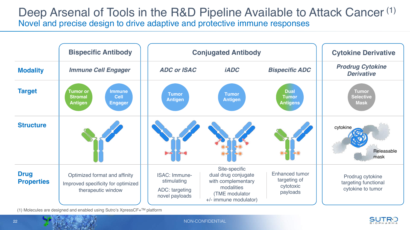### Deep Arsenal of Tools in the R&D Pipeline Available to Attack Cancer<sup>(1)</sup> Novel and precise design to drive adaptive and protective immune responses

|                                  | <b>Bispecific Antibody</b>                                                                            |                                                                         | <b>Conjugated Antibody</b>                                                                                          |                                                                | <b>Cytokine Derivative</b>                                    |
|----------------------------------|-------------------------------------------------------------------------------------------------------|-------------------------------------------------------------------------|---------------------------------------------------------------------------------------------------------------------|----------------------------------------------------------------|---------------------------------------------------------------|
| <b>Modality</b>                  | <b>Immune Cell Engager</b>                                                                            | <b>ADC or ISAC</b>                                                      | <b>iADC</b>                                                                                                         | <b>Bispecific ADC</b>                                          | <b>Prodrug Cytokine</b><br><b>Derivative</b>                  |
| <b>Target</b>                    | <b>Tumor or</b><br><b>Immune</b><br><b>Cell</b><br><b>Stromal</b><br><b>Antigen</b><br><b>Engager</b> | <b>Tumor</b><br><b>Antigen</b>                                          | <b>Tumor</b><br><b>Antigen</b>                                                                                      | <b>Dual</b><br><b>Tumor</b><br><b>Antigens</b>                 | <b>Tumor</b><br><b>Selective</b><br><b>Mask</b>               |
| <b>Structure</b>                 |                                                                                                       |                                                                         |                                                                                                                     |                                                                | cytokine<br>Releasable<br>mask                                |
| <b>Drug</b><br><b>Properties</b> | Optimized format and affinity<br>Improved specificity for optimized<br>therapeutic window             | <b>ISAC: Immune-</b><br>stimulating<br>ADC: targeting<br>novel payloads | Site-specific<br>dual drug conjugate<br>with complementary<br>modalities<br>(TME modulator<br>+/- immune modulator) | <b>Enhanced tumor</b><br>targeting of<br>cytotoxic<br>payloads | Prodrug cytokine<br>targeting functional<br>cytokine to tumor |

(1) Molecules are designed and enabled using Sutro's XpressCF+TM platform

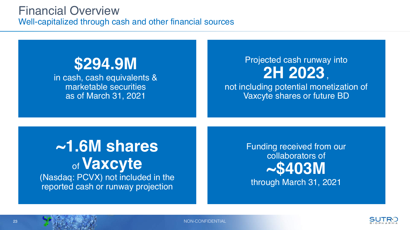## **\$294.9M**

in cash, cash equivalents & marketable securities as of March 31, 2021

## Projected cash runway into **2H 2023**,

not including potential monetization of Vaxcyte shares or future BD

## **~1.6M shares**  of **Vaxcyte** (Nasdaq: PCVX) not included in the reported cash or runway projection

Funding received from our collaborators of **~\$403M** through March 31, 2021

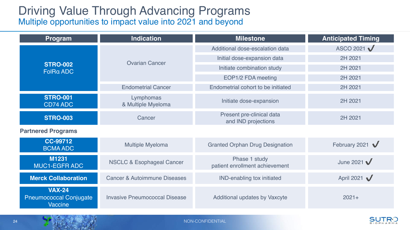## Driving Value Through Advancing Programs Multiple opportunities to impact value into 2021 and beyond

| Program                                                          | Indication                              | <b>Milestone</b>                                 | <b>Anticipated Timing</b> |
|------------------------------------------------------------------|-----------------------------------------|--------------------------------------------------|---------------------------|
|                                                                  |                                         | Additional dose-escalation data                  | ASCO 2021 $\sqrt$         |
|                                                                  | <b>Ovarian Cancer</b>                   | Initial dose-expansion data                      | 2H 2021                   |
| <b>STRO-002</b><br><b>FolRa ADC</b>                              |                                         | Initiate combination study<br>2H 2021            |                           |
|                                                                  |                                         | EOP1/2 FDA meeting                               | 2H 2021                   |
|                                                                  | <b>Endometrial Cancer</b>               | Endometrial cohort to be initiated               | 2H 2021                   |
| <b>STRO-001</b><br>CD74 ADC                                      | Lymphomas<br>& Multiple Myeloma         | Initiate dose-expansion                          | 2H 2021                   |
| <b>STRO-003</b>                                                  | Cancer                                  | Present pre-clinical data<br>and IND projections | 2H 2021                   |
| <b>Partnered Programs</b>                                        |                                         |                                                  |                           |
| CC-99712<br><b>BCMA ADC</b>                                      | <b>Multiple Myeloma</b>                 | <b>Granted Orphan Drug Designation</b>           | February 2021 $\sqrt$     |
| M1231<br><b>MUC1-EGFR ADC</b>                                    | <b>NSCLC &amp; Esophageal Cancer</b>    | Phase 1 study<br>patient enrollment achievement  | June 2021 $\sqrt$         |
| <b>Merck Collaboration</b>                                       | <b>Cancer &amp; Autoimmune Diseases</b> | <b>IND-enabling tox initiated</b>                | April 2021 $\sqrt$        |
| <b>VAX-24</b><br><b>Pneumococcal Conjugate</b><br><b>Vaccine</b> | <b>Invasive Pneumococcal Disease</b>    | <b>Additional updates by Vaxcyte</b>             | $2021 +$                  |